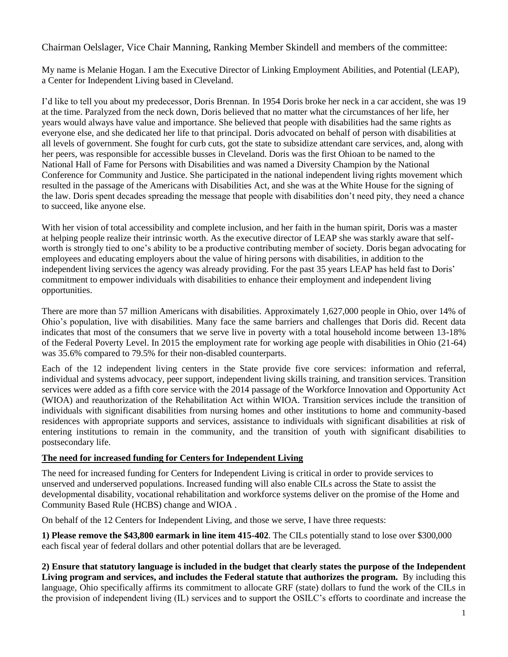Chairman Oelslager, Vice Chair Manning, Ranking Member Skindell and members of the committee:

My name is Melanie Hogan. I am the Executive Director of Linking Employment Abilities, and Potential (LEAP), a Center for Independent Living based in Cleveland.

I'd like to tell you about my predecessor, Doris Brennan. In 1954 Doris broke her neck in a car accident, she was 19 at the time. Paralyzed from the neck down, Doris believed that no matter what the circumstances of her life, her years would always have value and importance. She believed that people with disabilities had the same rights as everyone else, and she dedicated her life to that principal. Doris advocated on behalf of person with disabilities at all levels of government. She fought for curb cuts, got the state to subsidize attendant care services, and, along with her peers, was responsible for accessible busses in Cleveland. Doris was the first Ohioan to be named to the National Hall of Fame for Persons with Disabilities and was named a Diversity Champion by the National Conference for Community and Justice. She participated in the national independent living rights movement which resulted in the passage of the Americans with Disabilities Act, and she was at the White House for the signing of the law. Doris spent decades spreading the message that people with disabilities don't need pity, they need a chance to succeed, like anyone else.

With her vision of total accessibility and complete inclusion, and her faith in the human spirit, Doris was a master at helping people realize their intrinsic worth. As the executive director of LEAP she was starkly aware that selfworth is strongly tied to one's ability to be a productive contributing member of society. Doris began advocating for employees and educating employers about the value of hiring persons with disabilities, in addition to the independent living services the agency was already providing. For the past 35 years LEAP has held fast to Doris' commitment to empower individuals with disabilities to enhance their employment and independent living opportunities.

There are more than 57 million Americans with disabilities. Approximately 1,627,000 people in Ohio, over 14% of Ohio's population, live with disabilities. Many face the same barriers and challenges that Doris did. Recent data indicates that most of the consumers that we serve live in poverty with a total household income between 13-18% of the Federal Poverty Level. In 2015 the employment rate for working age people with disabilities in Ohio (21-64) was 35.6% compared to 79.5% for their non-disabled counterparts.

Each of the 12 independent living centers in the State provide five core services: information and referral, individual and systems advocacy, peer support, independent living skills training, and transition services. Transition services were added as a fifth core service with the 2014 passage of the Workforce Innovation and Opportunity Act (WIOA) and reauthorization of the Rehabilitation Act within WIOA. Transition services include the transition of individuals with significant disabilities from nursing homes and other institutions to home and community-based residences with appropriate supports and services, assistance to individuals with significant disabilities at risk of entering institutions to remain in the community, and the transition of youth with significant disabilities to postsecondary life.

## **The need for increased funding for Centers for Independent Living**

The need for increased funding for Centers for Independent Living is critical in order to provide services to unserved and underserved populations. Increased funding will also enable CILs across the State to assist the developmental disability, vocational rehabilitation and workforce systems deliver on the promise of the Home and Community Based Rule (HCBS) change and WIOA .

On behalf of the 12 Centers for Independent Living, and those we serve, I have three requests:

**1) Please remove the \$43,800 earmark in line item 415-402**. The CILs potentially stand to lose over \$300,000 each fiscal year of federal dollars and other potential dollars that are be leveraged.

**2) Ensure that statutory language is included in the budget that clearly states the purpose of the Independent Living program and services, and includes the Federal statute that authorizes the program.** By including this language, Ohio specifically affirms its commitment to allocate GRF (state) dollars to fund the work of the CILs in the provision of independent living (IL) services and to support the OSILC's efforts to coordinate and increase the